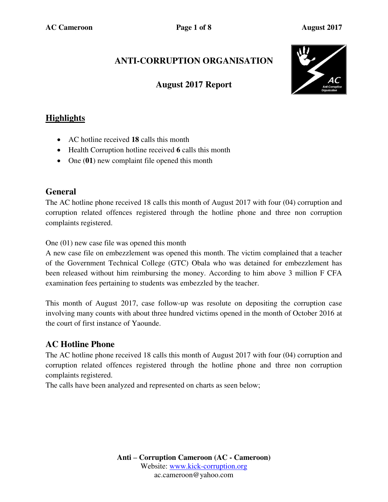# **ANTI-CORRUPTION ORGANISATION**

### **August 2017 Report**



# **Highlights**

- AC hotline received **18** calls this month
- Health Corruption hotline received **6** calls this month
- One (01) new complaint file opened this month

### **General**

The AC hotline phone received 18 calls this month of August 2017 with four (04) corruption and corruption related offences registered through the hotline phone and three non corruption complaints registered.

One (01) new case file was opened this month

A new case file on embezzlement was opened this month. The victim complained that a teacher of the Government Technical College (GTC) Obala who was detained for embezzlement has been released without him reimbursing the money. According to him above 3 million F CFA examination fees pertaining to students was embezzled by the teacher.

This month of August 2017, case follow-up was resolute on depositing the corruption case involving many counts with about three hundred victims opened in the month of October 2016 at the court of first instance of Yaounde.

## **AC Hotline Phone**

The AC hotline phone received 18 calls this month of August 2017 with four (04) corruption and corruption related offences registered through the hotline phone and three non corruption complaints registered.

The calls have been analyzed and represented on charts as seen below;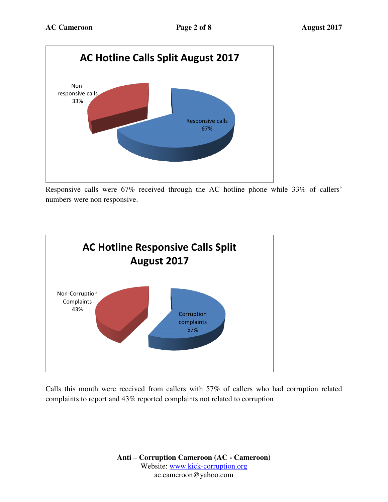

Responsive calls were 67% received through the AC hotline phone while 33% of callers' numbers were non responsive.



Calls this month were received from callers with 57% of callers who had corruption related complaints to report and 43% reported complaints not related to corruption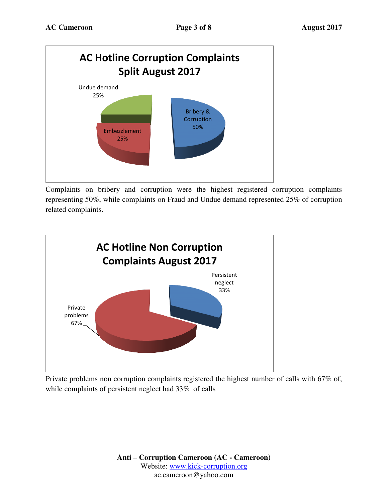

Complaints on bribery and corruption were the highest registered corruption complaints representing 50%, while complaints on Fraud and Undue demand represented 25% of corruption related complaints.



Private problems non corruption complaints registered the highest number of calls with 67% of, while complaints of persistent neglect had 33% of calls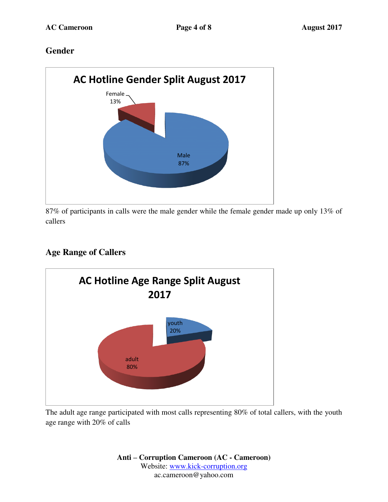### **Gender**



87% of participants in calls were the male gender while the female gender made up only 13% of callers

# **Age Range of Callers**



The adult age range participated with most calls representing 80% of total callers, with the youth age range with 20% of calls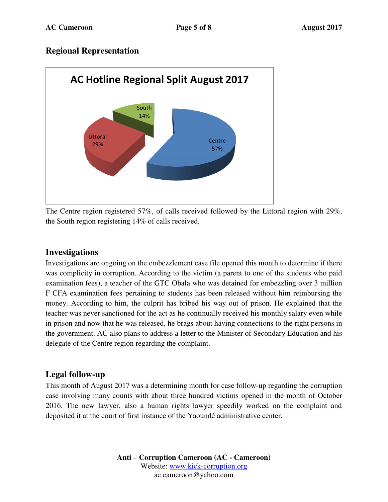### **Regional Representation**



The Centre region registered 57%, of calls received followed by the Littoral region with 29%, the South region registering 14% of calls received.

### **Investigations**

Investigations are ongoing on the embezzlement case file opened this month to determine if there was complicity in corruption. According to the victim (a parent to one of the students who paid examination fees), a teacher of the GTC Obala who was detained for embezzling over 3 million F CFA examination fees pertaining to students has been released without him reimbursing the money. According to him, the culprit has bribed his way out of prison. He explained that the teacher was never sanctioned for the act as he continually received his monthly salary even while in prison and now that he was released, he brags about having connections to the right persons in the government. AC also plans to address a letter to the Minister of Secondary Education and his delegate of the Centre region regarding the complaint.

### **Legal follow-up**

This month of August 2017 was a determining month for case follow-up regarding the corruption case involving many counts with about three hundred victims opened in the month of October 2016. The new lawyer, also a human rights lawyer speedily worked on the complaint and deposited it at the court of first instance of the Yaoundé administrative center.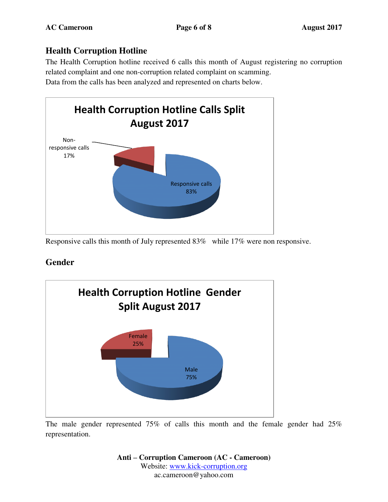# **Health Corruption Hotline**

The Health Corruption hotline received 6 calls this month of August registering no corruption related complaint and one non-corruption related complaint on scamming.

Data from the calls has been analyzed and represented on charts below.



Responsive calls this month of July represented 83% while 17% were non responsive.

# **Gender**



The male gender represented 75% of calls this month and the female gender had 25% representation.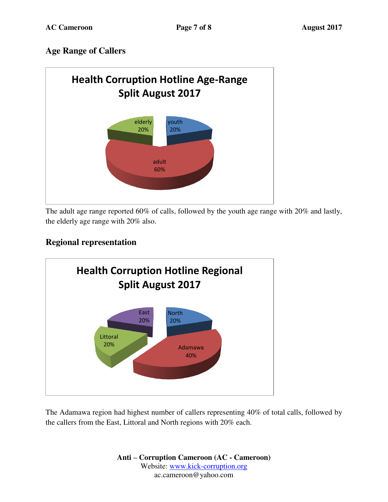## **Age Range of Callers**



The adult age range reported 60% of calls, followed by the youth age range with 20% and lastly, the elderly age range with 20% also.

# **Regional representation**



The Adamawa region had highest number of callers representing 40% of total calls, followed by the callers from the East, Littoral and North regions with 20% each.